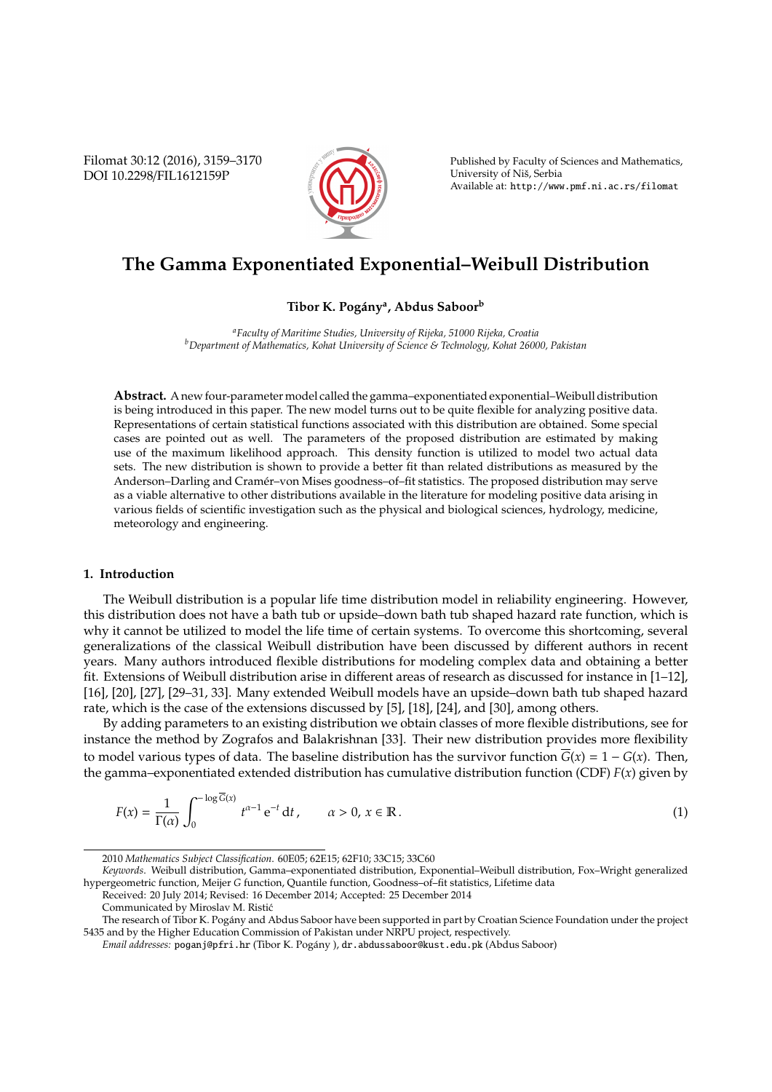Filomat 30:12 (2016), 3159–3170 DOI 10.2298/FIL1612159P



Published by Faculty of Sciences and Mathematics, University of Niš, Serbia Available at: http://www.pmf.ni.ac.rs/filomat

# **The Gamma Exponentiated Exponential–Weibull Distribution**

# **Tibor K. Pog´any<sup>a</sup> , Abdus Saboor<sup>b</sup>**

*<sup>a</sup>Faculty of Maritime Studies, University of Rijeka, 51000 Rijeka, Croatia <sup>b</sup>Department of Mathematics, Kohat University of Science & Technology, Kohat 26000, Pakistan*

**Abstract.** A new four-parameter model called the gamma–exponentiated exponential–Weibull distribution is being introduced in this paper. The new model turns out to be quite flexible for analyzing positive data. Representations of certain statistical functions associated with this distribution are obtained. Some special cases are pointed out as well. The parameters of the proposed distribution are estimated by making use of the maximum likelihood approach. This density function is utilized to model two actual data sets. The new distribution is shown to provide a better fit than related distributions as measured by the Anderson–Darling and Cramér–von Mises goodness–of–fit statistics. The proposed distribution may serve as a viable alternative to other distributions available in the literature for modeling positive data arising in various fields of scientific investigation such as the physical and biological sciences, hydrology, medicine, meteorology and engineering.

## **1. Introduction**

The Weibull distribution is a popular life time distribution model in reliability engineering. However, this distribution does not have a bath tub or upside–down bath tub shaped hazard rate function, which is why it cannot be utilized to model the life time of certain systems. To overcome this shortcoming, several generalizations of the classical Weibull distribution have been discussed by different authors in recent years. Many authors introduced flexible distributions for modeling complex data and obtaining a better fit. Extensions of Weibull distribution arise in different areas of research as discussed for instance in [1–12], [16], [20], [27], [29–31, 33]. Many extended Weibull models have an upside–down bath tub shaped hazard rate, which is the case of the extensions discussed by [5], [18], [24], and [30], among others.

By adding parameters to an existing distribution we obtain classes of more flexible distributions, see for instance the method by Zografos and Balakrishnan [33]. Their new distribution provides more flexibility to model various types of data. The baseline distribution has the survivor function  $\overline{G}(x) = 1 - G(x)$ . Then, the gamma–exponentiated extended distribution has cumulative distribution function (CDF) *F*(*x*) given by

$$
F(x) = \frac{1}{\Gamma(\alpha)} \int_0^{-\log \overline{G}(x)} t^{\alpha - 1} e^{-t} dt, \qquad \alpha > 0, x \in \mathbb{R}.
$$
 (1)

<sup>2010</sup> *Mathematics Subject Classification*. 60E05; 62E15; 62F10; 33C15; 33C60

*Keywords*. Weibull distribution, Gamma–exponentiated distribution, Exponential–Weibull distribution, Fox–Wright generalized hypergeometric function, Meijer *G* function, Quantile function, Goodness–of–fit statistics, Lifetime data

Received: 20 July 2014; Revised: 16 December 2014; Accepted: 25 December 2014

Communicated by Miroslav M. Ristic´

The research of Tibor K. Pogany and Abdus Saboor have been supported in part by Croatian Science Foundation under the project ´ 5435 and by the Higher Education Commission of Pakistan under NRPU project, respectively.

*Email addresses:* poganj@pfri.hr (Tibor K. Pogány ), dr.abdussaboor@kust.edu.pk (Abdus Saboor)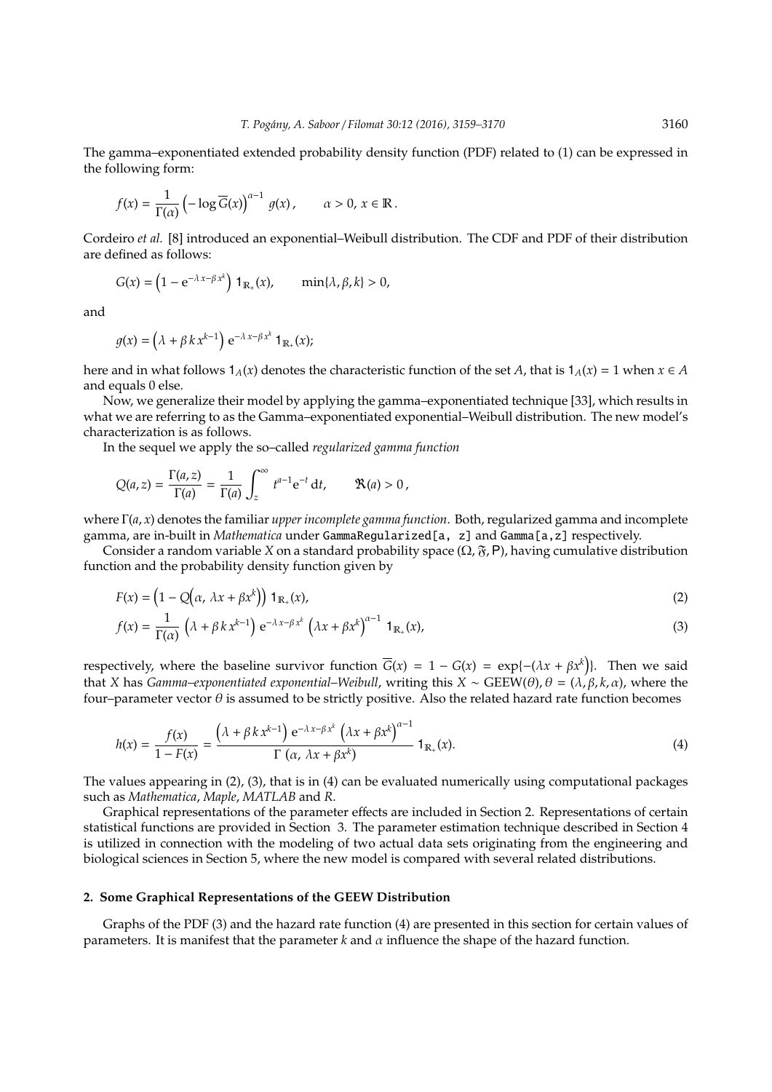The gamma–exponentiated extended probability density function (PDF) related to (1) can be expressed in the following form:

$$
f(x) = \frac{1}{\Gamma(\alpha)} \left( -\log \overline{G}(x) \right)^{\alpha - 1} g(x), \qquad \alpha > 0, \, x \in \mathbb{R}.
$$

Cordeiro *et al.* [8] introduced an exponential–Weibull distribution. The CDF and PDF of their distribution are defined as follows:

$$
G(x) = \left(1 - e^{-\lambda x - \beta x^k}\right) \mathbf{1}_{\mathbb{R}_+}(x), \qquad \min\{\lambda, \beta, k\} > 0,
$$

and

$$
g(x) = (\lambda + \beta k x^{k-1}) e^{-\lambda x - \beta x^k} \mathbf{1}_{\mathbb{R}_+}(x);
$$

here and in what follows  $1_A(x)$  denotes the characteristic function of the set *A*, that is  $1_A(x) = 1$  when  $x \in A$ and equals 0 else.

Now, we generalize their model by applying the gamma–exponentiated technique [33], which results in what we are referring to as the Gamma–exponentiated exponential–Weibull distribution. The new model's characterization is as follows.

In the sequel we apply the so–called *regularized gamma function*

$$
Q(a,z)=\frac{\Gamma(a,z)}{\Gamma(a)}=\frac{1}{\Gamma(a)}\int_z^\infty t^{a-1}\mathrm{e}^{-t}\,\mathrm{d} t,\qquad \mathfrak{R}(a)>0\,,
$$

where Γ(*a*, *x*) denotes the familiar *upper incomplete gamma function*. Both, regularized gamma and incomplete gamma, are in-built in *Mathematica* under GammaRegularized[a, z] and Gamma[a,z] respectively.

Consider a random variable *X* on a standard probability space  $(\Omega, \mathfrak{F}, P)$ , having cumulative distribution function and the probability density function given by

$$
F(x) = \left(1 - Q\left(\alpha, \lambda x + \beta x^{k}\right)\right) \mathbf{1}_{\mathbb{R}_{+}}(x),\tag{2}
$$

$$
f(x) = \frac{1}{\Gamma(\alpha)} \left( \lambda + \beta k x^{k-1} \right) e^{-\lambda x - \beta x^k} \left( \lambda x + \beta x^k \right)^{\alpha - 1} \mathbf{1}_{\mathbb{R}_+}(x), \tag{3}
$$

respectively, where the baseline survivor function  $\overline{G}(x) = 1 - G(x) = \exp{- (\lambda x + \beta x^k)}$ . Then we said that *X* has *Gamma–exponentiated exponential–Weibull*, writing this *X* ∼ *GEEW(* $θ$ *)*,  $θ = (λ, β, k, α)$ , where the four–parameter vector  $\theta$  is assumed to be strictly positive. Also the related hazard rate function becomes

$$
h(x) = \frac{f(x)}{1 - F(x)} = \frac{\left(\lambda + \beta k x^{k-1}\right) e^{-\lambda x - \beta x^k} \left(\lambda x + \beta x^k\right)^{\alpha - 1}}{\Gamma\left(\alpha, \lambda x + \beta x^k\right)} \mathbf{1}_{\mathbb{R}_+}(x). \tag{4}
$$

The values appearing in (2), (3), that is in (4) can be evaluated numerically using computational packages such as *Mathematica*, *Maple*, *MATLAB* and *R*.

Graphical representations of the parameter effects are included in Section 2. Representations of certain statistical functions are provided in Section 3. The parameter estimation technique described in Section 4 is utilized in connection with the modeling of two actual data sets originating from the engineering and biological sciences in Section 5, where the new model is compared with several related distributions.

#### **2. Some Graphical Representations of the GEEW Distribution**

Graphs of the PDF (3) and the hazard rate function (4) are presented in this section for certain values of parameters. It is manifest that the parameter  $k$  and  $\alpha$  influence the shape of the hazard function.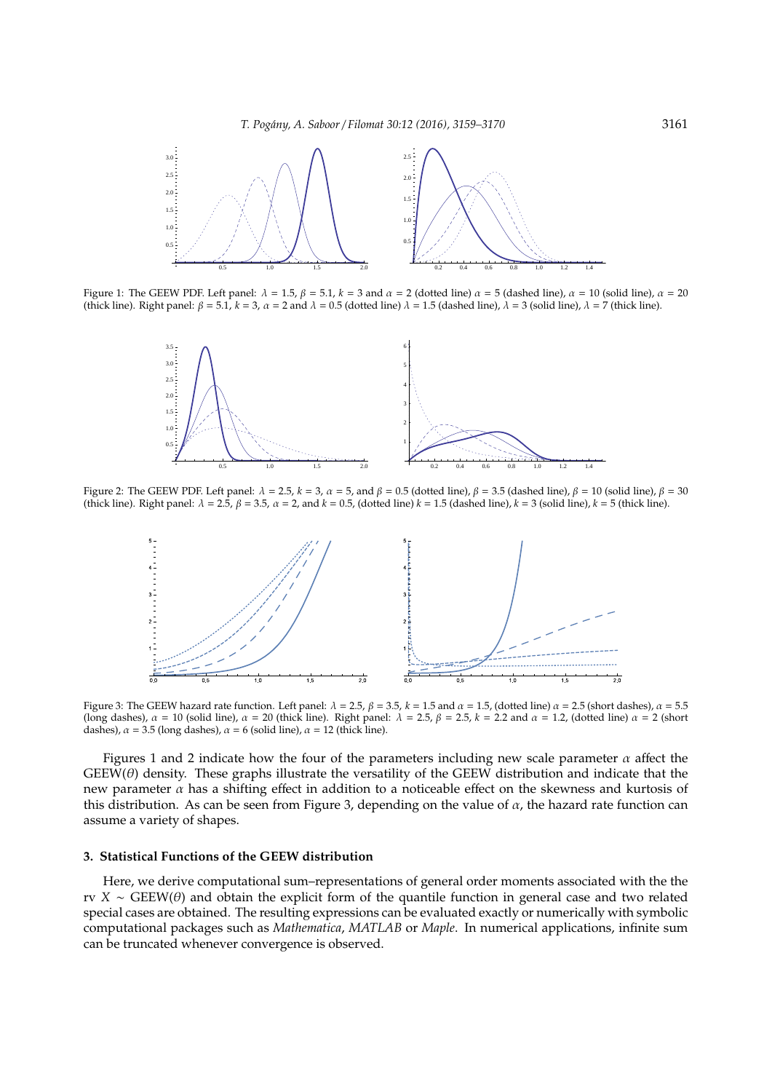

Figure 1: The GEEW PDF. Left panel:  $\lambda = 1.5$ ,  $\beta = 5.1$ ,  $k = 3$  and  $\alpha = 2$  (dotted line)  $\alpha = 5$  (dashed line),  $\alpha = 10$  (solid line),  $\alpha = 20$ (thick line). Right panel:  $\beta = 5.1$ ,  $k = 3$ ,  $\alpha = 2$  and  $\lambda = 0.5$  (dotted line)  $\lambda = 1.5$  (dashed line),  $\lambda = 3$  (solid line),  $\lambda = 7$  (thick line).



Figure 2: The GEEW PDF. Left panel:  $\lambda = 2.5$ ,  $k = 3$ ,  $\alpha = 5$ , and  $\beta = 0.5$  (dotted line),  $\beta = 3.5$  (dashed line),  $\beta = 10$  (solid line),  $\beta = 30$ (thick line). Right panel:  $\lambda = 2.5$ ,  $\beta = 3.5$ ,  $\alpha = 2$ , and  $k = 0.5$ , (dotted line)  $k = 1.5$  (dashed line),  $k = 3$  (solid line),  $k = 5$  (thick line).



Figure 3: The GEEW hazard rate function. Left panel:  $\lambda = 2.5$ ,  $\beta = 3.5$ ,  $k = 1.5$  and  $\alpha = 1.5$ , (dotted line)  $\alpha = 2.5$  (short dashes),  $\alpha = 5.5$ (long dashes),  $\alpha = 10$  (solid line),  $\alpha = 20$  (thick line). Right panel:  $\lambda = 2.5$ ,  $\beta = 2.5$ ,  $k = 2.2$  and  $\alpha = 1.2$ , (dotted line)  $\alpha = 2$  (short dashes),  $\alpha = 3.5$  (long dashes),  $\alpha = 6$  (solid line),  $\alpha = 12$  (thick line).

Figures 1 and 2 indicate how the four of the parameters including new scale parameter  $\alpha$  affect the  $GEEW(\theta)$  density. These graphs illustrate the versatility of the GEEW distribution and indicate that the new parameter  $\alpha$  has a shifting effect in addition to a noticeable effect on the skewness and kurtosis of this distribution. As can be seen from Figure 3, depending on the value of  $\alpha$ , the hazard rate function can assume a variety of shapes.

## **3. Statistical Functions of the GEEW distribution**

Here, we derive computational sum–representations of general order moments associated with the the rv *X* ∼ GEEW(θ) and obtain the explicit form of the quantile function in general case and two related special cases are obtained. The resulting expressions can be evaluated exactly or numerically with symbolic computational packages such as *Mathematica*, *MATLAB* or *Maple*. In numerical applications, infinite sum can be truncated whenever convergence is observed.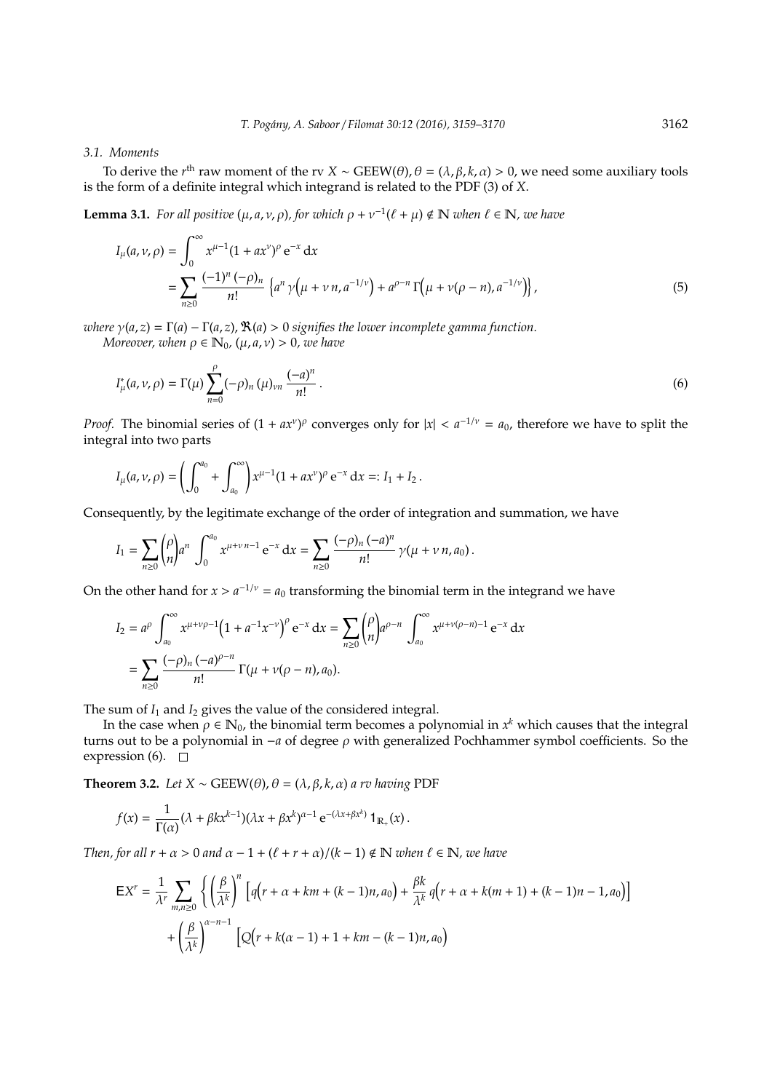# *3.1. Moments*

To derive the *r*<sup>th</sup> raw moment of the rv *X* ~ GEEW( $\theta$ ),  $\theta = (\lambda, \beta, k, \alpha) > 0$ , we need some auxiliary tools is the form of a definite integral which integrand is related to the PDF (3) of *X*.

**Lemma 3.1.** *For all positive*  $(\mu, a, \nu, \rho)$ *, for which*  $\rho + \nu^{-1}(\ell + \mu) \notin \mathbb{N}$  *when*  $\ell \in \mathbb{N}$ *, we have* 

$$
I_{\mu}(a,\nu,\rho) = \int_0^{\infty} x^{\mu-1} (1 + ax^{\nu})^{\rho} e^{-x} dx
$$
  
= 
$$
\sum_{n\geq 0} \frac{(-1)^n (-\rho)_n}{n!} \left\{ a^n \gamma \left( \mu + \nu n, a^{-1/\nu} \right) + a^{\rho-n} \Gamma \left( \mu + \nu (\rho - n), a^{-1/\nu} \right) \right\},
$$
 (5)

*where*  $\gamma(a, z) = \Gamma(a) - \Gamma(a, z)$ ,  $\Re(a) > 0$  *signifies the lower incomplete gamma function. Moreover, when*  $\rho \in \mathbb{N}_0$ ,  $(\mu, a, \nu) > 0$ , we have

$$
I_{\mu}^{*}(a,\nu,\rho) = \Gamma(\mu) \sum_{n=0}^{\rho} (-\rho)_{n} (\mu)_{\nu n} \frac{(-a)^{n}}{n!}.
$$
 (6)

*Proof.* The binomial series of  $(1 + ax^v)^p$  converges only for  $|x| < a^{-1/v} = a_0$ , therefore we have to split the integral into two parts

$$
I_{\mu}(a,\nu,\rho)=\left(\int_0^{a_0}+\int_{a_0}^{\infty}\right)x^{\mu-1}(1+ax^{\nu})^{\rho}e^{-x} dx=:I_1+I_2.
$$

Consequently, by the legitimate exchange of the order of integration and summation, we have

$$
I_1 = \sum_{n\geq 0} {\rho \choose n} a^n \int_0^{a_0} x^{\mu+\nu n-1} e^{-x} dx = \sum_{n\geq 0} {\frac{(-\rho)_n (-a)^n}{n!}} \gamma(\mu+\nu n, a_0).
$$

On the other hand for  $x > a^{-1/\nu} = a_0$  transforming the binomial term in the integrand we have

$$
I_2 = a^{\rho} \int_{a_0}^{\infty} x^{\mu + \nu \rho - 1} \left( 1 + a^{-1} x^{-\nu} \right)^{\rho} e^{-x} dx = \sum_{n \ge 0} {\rho \choose n} a^{\rho - n} \int_{a_0}^{\infty} x^{\mu + \nu (\rho - n) - 1} e^{-x} dx
$$
  
= 
$$
\sum_{n \ge 0} \frac{(-\rho)_n (-a)^{\rho - n}}{n!} \Gamma(\mu + \nu (\rho - n), a_0).
$$

The sum of  $I_1$  and  $I_2$  gives the value of the considered integral.

In the case when  $\rho \in \mathbb{N}_0$ , the binomial term becomes a polynomial in  $x^k$  which causes that the integral turns out to be a polynomial in −*a* of degree ρ with generalized Pochhammer symbol coefficients. So the expression (6).  $\square$ 

**Theorem 3.2.** *Let*  $X \sim \text{GEEW}(\theta)$ ,  $\theta = (\lambda, \beta, k, \alpha)$  *a rv having* PDF

$$
f(x) = \frac{1}{\Gamma(\alpha)} (\lambda + \beta k x^{k-1}) (\lambda x + \beta x^k)^{\alpha - 1} e^{-(\lambda x + \beta x^k)} 1_{\mathbb{R}_+}(x).
$$

*Then, for all r* +  $\alpha$  > 0 *and*  $\alpha$  − 1 +  $(\ell + r + \alpha)/(k - 1) \notin \mathbb{N}$  *when*  $\ell \in \mathbb{N}$ *, we have* 

$$
EX^{r} = \frac{1}{\lambda^{r}} \sum_{m,n \geq 0} \left\{ \left( \frac{\beta}{\lambda^{k}} \right)^{n} \left[ q\left( r + \alpha + km + (k-1)n, a_{0} \right) + \frac{\beta k}{\lambda^{k}} q\left( r + \alpha + k(m+1) + (k-1)n - 1, a_{0} \right) \right] + \left( \frac{\beta}{\lambda^{k}} \right)^{\alpha - n - 1} \left[ Q\left( r + k(\alpha - 1) + 1 + km - (k-1)n, a_{0} \right) \right]
$$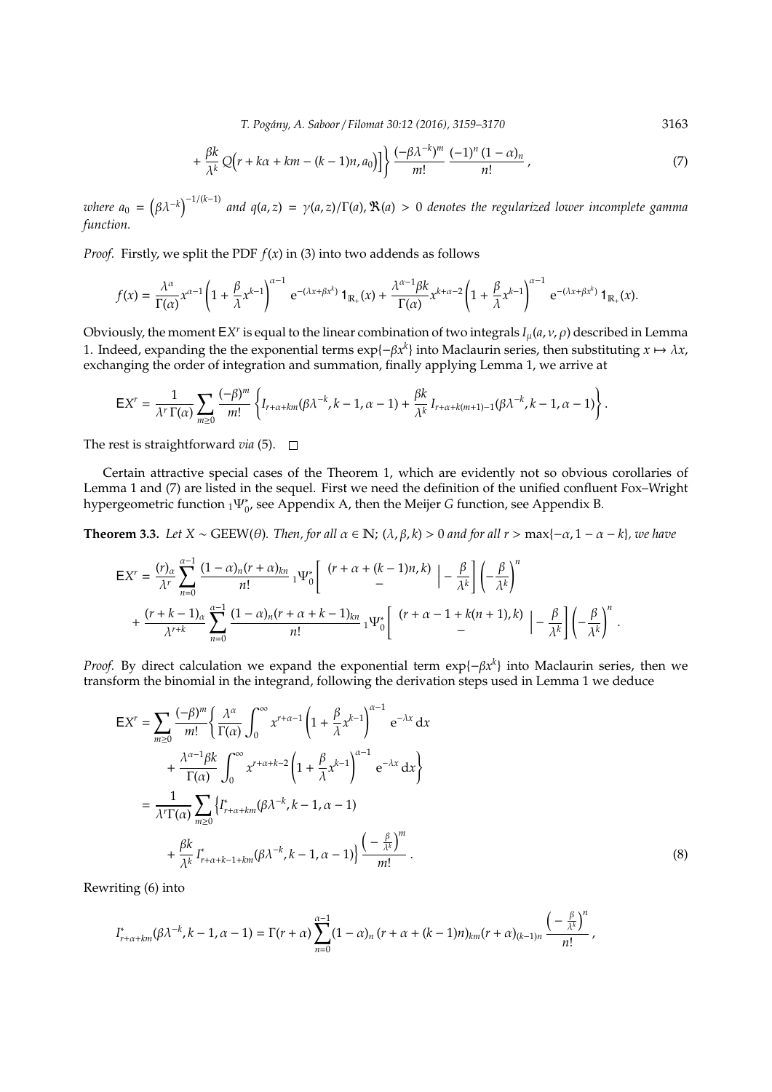*T. Pog´any, A. Saboor* / *Filomat 30:12 (2016), 3159–3170* 3163

$$
+\frac{\beta k}{\lambda^k}Q(r+k\alpha+km-(k-1)n,a_0)]\bigg\}\frac{(-\beta\lambda^{-k})^m}{m!}\frac{(-1)^n(1-\alpha)_n}{n!},\qquad (7)
$$

 $\omega$ here  $a_0 = (\beta \lambda^{-k})^{-1/(k-1)}$  and  $q(a,z) = \gamma(a,z)/\Gamma(a)$ ,  $\Re(a) > 0$  denotes the regularized lower incomplete gamma *function.*

*Proof.* Firstly, we split the PDF  $f(x)$  in (3) into two addends as follows

$$
f(x) = \frac{\lambda^{\alpha}}{\Gamma(\alpha)} x^{\alpha-1} \left(1 + \frac{\beta}{\lambda} x^{k-1}\right)^{\alpha-1} e^{-(\lambda x + \beta x^k)} \mathbf{1}_{\mathbb{R}_+}(x) + \frac{\lambda^{\alpha-1} \beta k}{\Gamma(\alpha)} x^{k+\alpha-2} \left(1 + \frac{\beta}{\lambda} x^{k-1}\right)^{\alpha-1} e^{-(\lambda x + \beta x^k)} \mathbf{1}_{\mathbb{R}_+}(x).
$$

Obviously, the moment  $E X^r$  is equal to the linear combination of two integrals  $I_\mu(a,\nu,\rho)$  described in Lemma 1. Indeed, expanding the the exponential terms  $exp{-\beta x^k}$  into Maclaurin series, then substituting  $x \mapsto \lambda x$ , exchanging the order of integration and summation, finally applying Lemma 1, we arrive at

$$
\mathsf{E} X^r = \frac{1}{\lambda^r\,\Gamma(\alpha)} \sum_{m\geq 0} \frac{(-\beta)^m}{m!} \left\{ I_{r+\alpha+km}(\beta\lambda^{-k},k-1,\alpha-1) + \frac{\beta k}{\lambda^k} I_{r+\alpha+k(m+1)-1}(\beta\lambda^{-k},k-1,\alpha-1) \right\}.
$$

The rest is straightforward *via* (5).  $\Box$ 

Certain attractive special cases of the Theorem 1, which are evidently not so obvious corollaries of Lemma 1 and (7) are listed in the sequel. First we need the definition of the unified confluent Fox–Wright hypergeometric function <sub>1</sub>Ψ<sub>*°*</sub>, see Appendix A, then the Meijer *G* function, see Appendix B.

**Theorem 3.3.** *Let*  $X \sim \text{GEEW}(\theta)$ *. Then, for all*  $\alpha \in \mathbb{N}$ *;*  $(\lambda, \beta, k) > 0$  *and for all*  $r > \max\{-\alpha, 1 - \alpha - k\}$ *, we have* 

$$
\begin{split} \mathsf{E}X^{r}&=\frac{(r)_{\alpha}}{\lambda^{r}}\sum_{n=0}^{\alpha-1}\frac{(1-\alpha)_{n}(r+\alpha)_{kn}}{n!}\,_1\!\Psi_{0}^*\bigg[\begin{array}{c} (r+\alpha+(k-1)n,k)\\ & -\end{array}\bigg|-\frac{\beta}{\lambda^{k}}\bigg]\bigg(-\frac{\beta}{\lambda^{k}}\bigg)^{n}\\ &+\frac{(r+k-1)_{\alpha}}{\lambda^{r+k}}\sum_{n=0}^{\alpha-1}\frac{(1-\alpha)_{n}(r+\alpha+k-1)_{kn}}{n!}\,_1\!\Psi_{0}^*\bigg[\begin{array}{c} (r+\alpha-1+k(n+1),k)\\ & -\end{array}\bigg|-\frac{\beta}{\lambda^{k}}\bigg]\bigg(-\frac{\beta}{\lambda^{k}}\bigg)^{n}\ . \end{split}
$$

*Proof.* By direct calculation we expand the exponential term exp{−β*x*<sup>k</sup>} into Maclaurin series, then we transform the binomial in the integrand, following the derivation steps used in Lemma 1 we deduce

$$
EX^{r} = \sum_{m\geq 0} \frac{(-\beta)^{m}}{m!} \left\{ \frac{\lambda^{\alpha}}{\Gamma(\alpha)} \int_{0}^{\infty} x^{r+\alpha-1} \left( 1 + \frac{\beta}{\lambda} x^{k-1} \right)^{\alpha-1} e^{-\lambda x} dx \right. \\ + \frac{\lambda^{\alpha-1} \beta k}{\Gamma(\alpha)} \int_{0}^{\infty} x^{r+\alpha+k-2} \left( 1 + \frac{\beta}{\lambda} x^{k-1} \right)^{\alpha-1} e^{-\lambda x} dx \right\}
$$

$$
= \frac{1}{\lambda^{r} \Gamma(\alpha)} \sum_{m\geq 0} \left\{ I_{r+\alpha+km}^{*} (\beta \lambda^{-k}, k-1, \alpha-1) + \frac{\beta k}{\lambda^{k}} I_{r+\alpha+k-1+km}^{*} (\beta \lambda^{-k}, k-1, \alpha-1) \right\} \frac{\left( - \frac{\beta}{\lambda^{k}} \right)^{m}}{m!} . \tag{8}
$$

Rewriting (6) into

$$
I^*_{r+\alpha+km}(\beta\lambda^{-k},k-1,\alpha-1)=\Gamma(r+\alpha)\sum_{n=0}^{\alpha-1}(1-\alpha)_n\,(r+\alpha+(k-1)n)_{km}(r+\alpha)_{(k-1)n}\,\frac{\left(-\frac{\beta}{\lambda^k}\right)^n}{n!}\,,
$$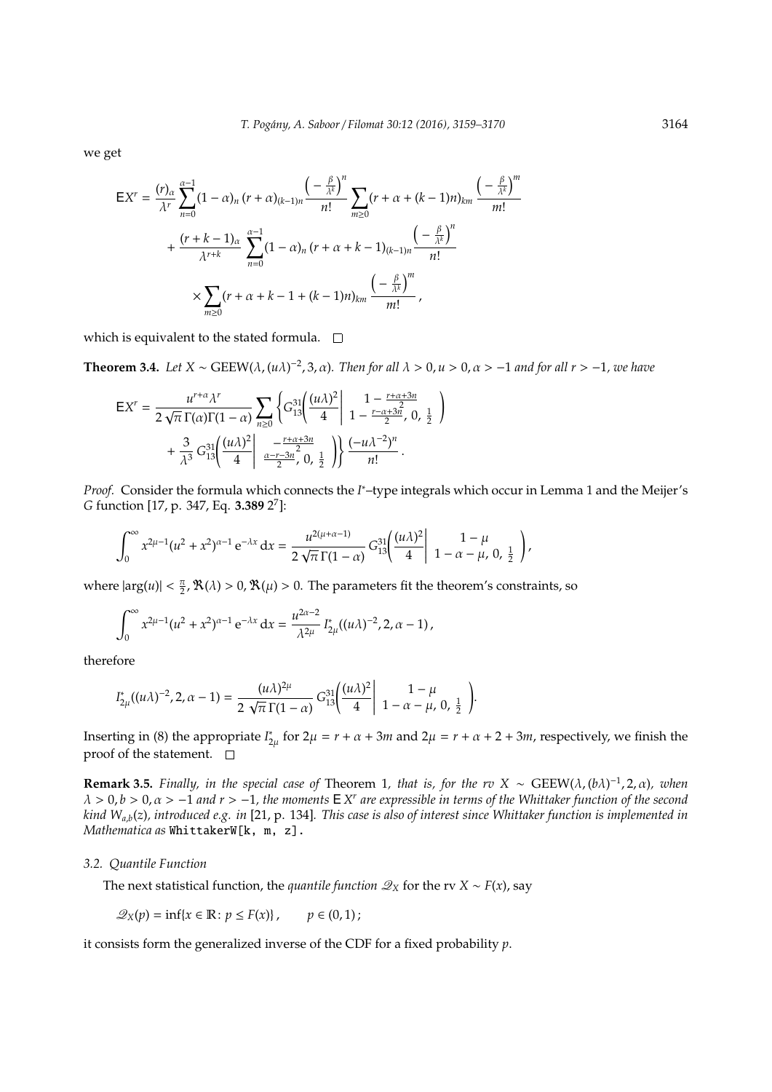we get

$$
EX^{r} = \frac{(r)_{\alpha}}{\lambda^{r}} \sum_{n=0}^{\alpha-1} (1 - \alpha)_{n} (r + \alpha)_{(k-1)n} \frac{\left(-\frac{\beta}{\lambda^{k}}\right)^{n}}{n!} \sum_{m \geq 0} (r + \alpha + (k-1)n)_{km} \frac{\left(-\frac{\beta}{\lambda^{k}}\right)^{m}}{m!} + \frac{(r + k - 1)_{\alpha}}{\lambda^{r+k}} \sum_{n=0}^{\alpha-1} (1 - \alpha)_{n} (r + \alpha + k - 1)_{(k-1)n} \frac{\left(-\frac{\beta}{\lambda^{k}}\right)^{n}}{n!} \times \sum_{m \geq 0} (r + \alpha + k - 1 + (k-1)n)_{km} \frac{\left(-\frac{\beta}{\lambda^{k}}\right)^{m}}{m!},
$$

which is equivalent to the stated formula.  $\square$ 

**Theorem 3.4.** *Let*  $X \sim \text{GEEW}(\lambda, (u\lambda)^{-2}, 3, \alpha)$ . *Then for all*  $\lambda > 0, u > 0, \alpha > -1$  *and for all*  $r > -1$ *, we have* 

$$
EX^{r} = \frac{u^{r+\alpha}\lambda^{r}}{2\sqrt{\pi}\,\Gamma(\alpha)\Gamma(1-\alpha)} \sum_{n\geq 0} \left\{ G_{13}^{31} \left( \frac{(u\lambda)^{2}}{4} \bigg| 1 - \frac{r+\alpha+3n}{2}, 0, \frac{1}{2} \right) + \frac{3}{\lambda^{3}} G_{13}^{31} \left( \frac{(u\lambda)^{2}}{4} \bigg| 1 - \frac{r+\alpha+3n}{2}, 0, \frac{1}{2} \right) \right\} \frac{(-u\lambda^{-2})^{n}}{n!}.
$$

*Proof.* Consider the formula which connects the *I* <sup>∗</sup>–type integrals which occur in Lemma 1 and the Meijer's *G* function [17, p. 347, Eq. **3.389** 2 7 ]:

$$
\int_0^\infty x^{2\mu-1} (u^2 + x^2)^{\alpha-1} e^{-\lambda x} dx = \frac{u^{2(\mu+\alpha-1)}}{2\sqrt{\pi} \Gamma(1-\alpha)} G_{13}^{31} \left( \frac{(u\lambda)^2}{4} \right) \frac{1-\mu}{1-\alpha-\mu}, 0, \frac{1}{2} \bigg),
$$

where  $|\arg(u)| < \frac{\pi}{2}$ ,  $\Re(\lambda) > 0$ ,  $\Re(\mu) > 0$ . The parameters fit the theorem's constraints, so

$$
\int_0^\infty x^{2\mu-1}(u^2+x^2)^{\alpha-1} e^{-\lambda x} dx = \frac{u^{2\alpha-2}}{\lambda^{2\mu}} I^*_{2\mu}((u\lambda)^{-2}, 2, \alpha-1),
$$

therefore

$$
I_{2\mu}^*((u\lambda)^{-2}, 2, \alpha-1) = \frac{(u\lambda)^{2\mu}}{2\sqrt{\pi}\,\Gamma(1-\alpha)}\,G_{13}^{31}\left(\frac{(u\lambda)^2}{4}\bigg|\begin{array}{c}1-\mu\\1-\alpha-\mu,\,0,\,\frac{1}{2}\end{array}\right).
$$

Inserting in (8) the appropriate *I* ∗  $C_{2\mu}^*$  for 2 $\mu = r + \alpha + 3m$  and 2 $\mu = r + \alpha + 2 + 3m$ , respectively, we finish the proof of the statement.  $\square$ 

**Remark 3.5.** *Finally, in the special case of Theorem 1, that is, for the rv X* ~  $GEEW(\lambda, (b\lambda)^{-1}, 2, \alpha)$ *, when* λ > 0, *b* > 0, α > −1 *and r* > −1*, the moments* E *X r are expressible in terms of the Whittaker function of the second kind Wa*,*b*(*z*)*, introduced e.g. in* [21, p. 134]*. This case is also of interest since Whittaker function is implemented in Mathematica as* WhittakerW[k, m, z].

## *3.2. Quantile Function*

The next statistical function, the *quantile function*  $\mathscr{Q}_X$  for the rv *X* ∼ *F*(*x*), say

$$
\mathcal{Q}_X(p) = \inf\{x \in \mathbb{R} \colon p \leq F(x)\}, \qquad p \in (0, 1);
$$

it consists form the generalized inverse of the CDF for a fixed probability *p*.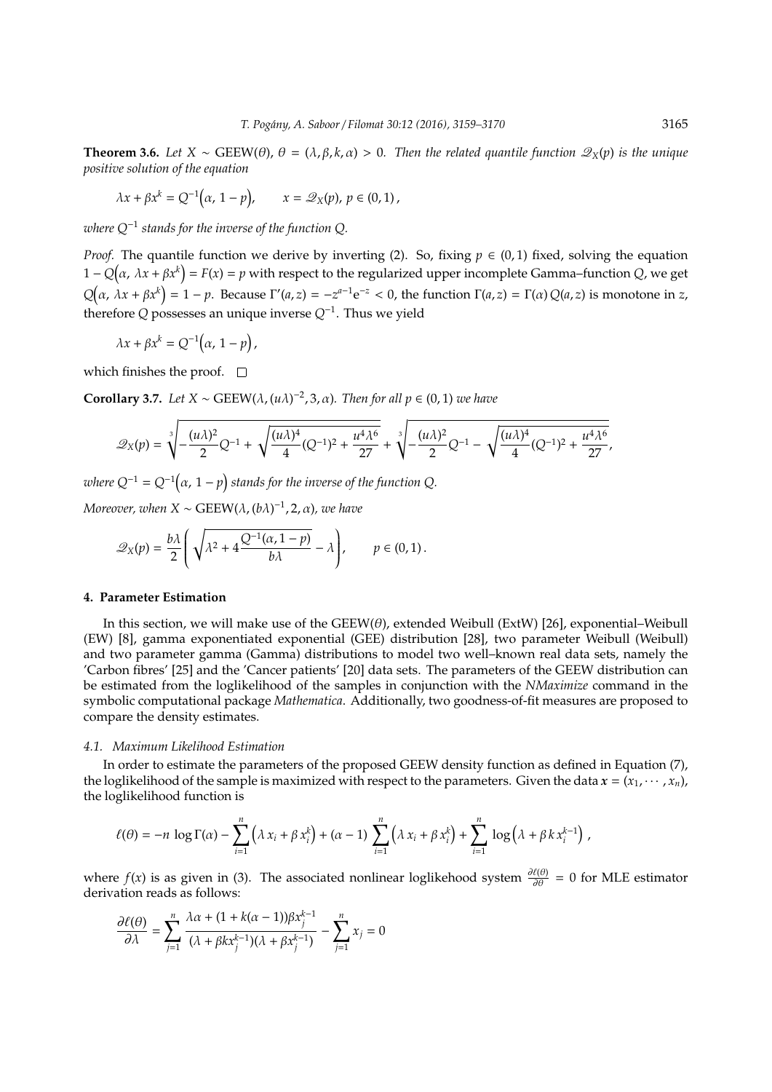**Theorem 3.6.** *Let*  $X \sim \text{GEEW}(\theta)$ ,  $\theta = (\lambda, \beta, k, \alpha) > 0$ . Then the related quantile function  $\mathcal{Q}_X(p)$  is the unique *positive solution of the equation*

$$
\lambda x + \beta x^k = Q^{-1}(\alpha, 1 - p), \qquad x = \mathcal{Q}_X(p), p \in (0, 1),
$$

*where Q*−<sup>1</sup> *stands for the inverse of the function Q.*

*Proof.* The quantile function we derive by inverting (2). So, fixing  $p \in (0, 1)$  fixed, solving the equation  $1 - Q(α, λx + βx<sup>k</sup>) = F(x) = p$  with respect to the regularized upper incomplete Gamma–function *Q*, we get  $Q(\alpha, \lambda x + \beta x^k) = 1 - p$ . Because  $\Gamma'(a, z) = -z^{a-1}e^{-z} < 0$ , the function  $\Gamma(a, z) = \Gamma(\alpha) Q(a, z)$  is monotone in z, therefore *Q* possesses an unique inverse *Q*−<sup>1</sup> . Thus we yield

 $\lambda x + \beta x^k = Q^{-1}(\alpha, 1 - p)$ ,

which finishes the proof.  $\square$ 

**Corollary 3.7.** *Let*  $X \sim \text{GEEW}(\lambda, (u\lambda)^{-2}, 3, \alpha)$ *. Then for all*  $p \in (0, 1)$  *we have* 

$$
\mathscr{Q}_X(p) = \sqrt[3]{-\frac{(u\lambda)^2}{2}Q^{-1}+\sqrt{\frac{(u\lambda)^4}{4}(Q^{-1})^2+\frac{u^4\lambda^6}{27}}}+\sqrt[3]{-\frac{(u\lambda)^2}{2}Q^{-1}-\sqrt{\frac{(u\lambda)^4}{4}(Q^{-1})^2+\frac{u^4\lambda^6}{27}}},
$$

where  $Q^{-1} = Q^{-1}\big(\alpha,\,1-p\big)$  stands for the inverse of the function  $Q$ .

 $Moreover, when X ~ \sim {\rm GEEW}(\lambda, (b\lambda)^{-1}, 2, \alpha)$ , we have

$$
\mathscr{Q}_X(p) = \frac{b\lambda}{2} \left( \sqrt{\lambda^2 + 4\frac{Q^{-1}(\alpha, 1-p)}{b\lambda}} - \lambda \right), \qquad p \in (0, 1).
$$

# **4. Parameter Estimation**

In this section, we will make use of the  $GEEW(\theta)$ , extended Weibull (ExtW) [26], exponential–Weibull (EW) [8], gamma exponentiated exponential (GEE) distribution [28], two parameter Weibull (Weibull) and two parameter gamma (Gamma) distributions to model two well–known real data sets, namely the 'Carbon fibres' [25] and the 'Cancer patients' [20] data sets. The parameters of the GEEW distribution can be estimated from the loglikelihood of the samples in conjunction with the *NMaximize* command in the symbolic computational package *Mathematica*. Additionally, two goodness-of-fit measures are proposed to compare the density estimates.

#### *4.1. Maximum Likelihood Estimation*

In order to estimate the parameters of the proposed GEEW density function as defined in Equation (7), the loglikelihood of the sample is maximized with respect to the parameters. Given the data  $x = (x_1, \dots, x_n)$ , the loglikelihood function is

$$
\ell(\theta) = -n \log \Gamma(\alpha) - \sum_{i=1}^{n} (\lambda x_i + \beta x_i^k) + (\alpha - 1) \sum_{i=1}^{n} (\lambda x_i + \beta x_i^k) + \sum_{i=1}^{n} \log (\lambda + \beta k x_i^{k-1}),
$$

where  $f(x)$  is as given in (3). The associated nonlinear loglikehood system  $\frac{\partial f(\theta)}{\partial \theta} = 0$  for MLE estimator derivation reads as follows:

$$
\frac{\partial \ell(\theta)}{\partial \lambda} = \sum_{j=1}^n \frac{\lambda \alpha + (1 + k(\alpha - 1)) \beta x_j^{k-1}}{(\lambda + \beta k x_j^{k-1})(\lambda + \beta x_j^{k-1})} - \sum_{j=1}^n x_j = 0
$$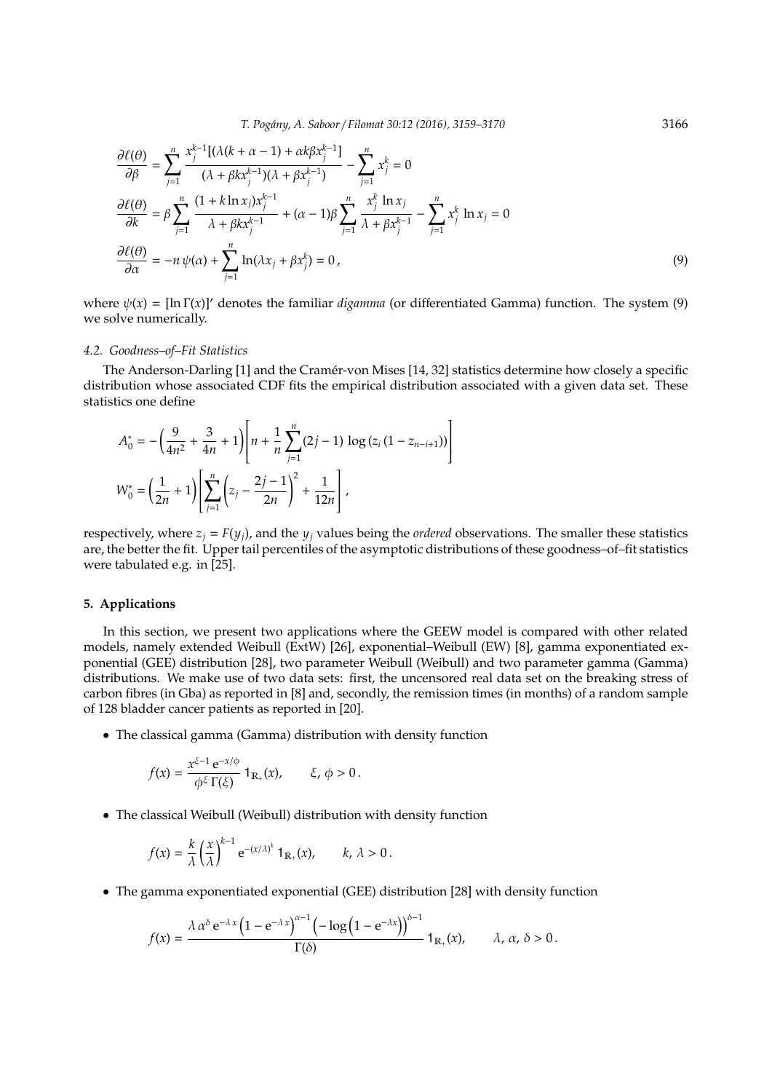$$
\frac{\partial \ell(\theta)}{\partial \beta} = \sum_{j=1}^{n} \frac{x_{j}^{k-1} [(\lambda(k + \alpha - 1) + \alpha k \beta x_{j}^{k-1}]}{(\lambda + \beta k x_{j}^{k-1})(\lambda + \beta x_{j}^{k-1})} - \sum_{j=1}^{n} x_{j}^{k} = 0
$$
  

$$
\frac{\partial \ell(\theta)}{\partial k} = \beta \sum_{j=1}^{n} \frac{(1 + k \ln x_{j}) x_{j}^{k-1}}{\lambda + \beta k x_{j}^{k-1}} + (\alpha - 1)\beta \sum_{j=1}^{n} \frac{x_{j}^{k} \ln x_{j}}{\lambda + \beta x_{j}^{k-1}} - \sum_{j=1}^{n} x_{j}^{k} \ln x_{j} = 0
$$
  

$$
\frac{\partial \ell(\theta)}{\partial \alpha} = -n \psi(\alpha) + \sum_{j=1}^{n} \ln(\lambda x_{j} + \beta x_{j}^{k}) = 0,
$$
 (9)

where  $\psi(x) = [\ln \Gamma(x)]'$  denotes the familiar *digamma* (or differentiated Gamma) function. The system (9) we solve numerically.

#### *4.2. Goodness–of–Fit Statistics*

The Anderson-Darling [1] and the Cramer-von Mises [14, 32] statistics determine how closely a specific ´ distribution whose associated CDF fits the empirical distribution associated with a given data set. These statistics one define

$$
A_0^* = -\left(\frac{9}{4n^2} + \frac{3}{4n} + 1\right) \left[ n + \frac{1}{n} \sum_{j=1}^n (2j - 1) \log (z_i (1 - z_{n-i+1})) \right]
$$
  

$$
W_0^* = \left(\frac{1}{2n} + 1\right) \left[ \sum_{j=1}^n \left( z_j - \frac{2j - 1}{2n} \right)^2 + \frac{1}{12n} \right],
$$

respectively, where  $z_i = F(y_i)$ , and the  $y_i$  values being the *ordered* observations. The smaller these statistics are, the better the fit. Upper tail percentiles of the asymptotic distributions of these goodness–of–fit statistics were tabulated e.g. in [25].

# **5. Applications**

In this section, we present two applications where the GEEW model is compared with other related models, namely extended Weibull (ExtW) [26], exponential–Weibull (EW) [8], gamma exponentiated exponential (GEE) distribution [28], two parameter Weibull (Weibull) and two parameter gamma (Gamma) distributions. We make use of two data sets: first, the uncensored real data set on the breaking stress of carbon fibres (in Gba) as reported in [8] and, secondly, the remission times (in months) of a random sample of 128 bladder cancer patients as reported in [20].

• The classical gamma (Gamma) distribution with density function

$$
f(x) = \frac{x^{\xi-1} e^{-x/\phi}}{\phi^{\xi} \Gamma(\xi)} \mathbf{1}_{\mathbb{R}_+}(x), \qquad \xi, \phi > 0.
$$

• The classical Weibull (Weibull) distribution with density function

$$
f(x) = \frac{k}{\lambda} \left(\frac{x}{\lambda}\right)^{k-1} e^{-(x/\lambda)^k} \mathbf{1}_{\mathbb{R}_+}(x), \qquad k, \lambda > 0.
$$

• The gamma exponentiated exponential (GEE) distribution [28] with density function

$$
f(x) = \frac{\lambda \alpha^{\delta} e^{-\lambda x} \left(1 - e^{-\lambda x}\right)^{\alpha - 1} \left(-\log\left(1 - e^{-\lambda x}\right)\right)^{\delta - 1}}{\Gamma(\delta)} 1_{\mathbb{R}_+}(x), \qquad \lambda, \alpha, \delta > 0.
$$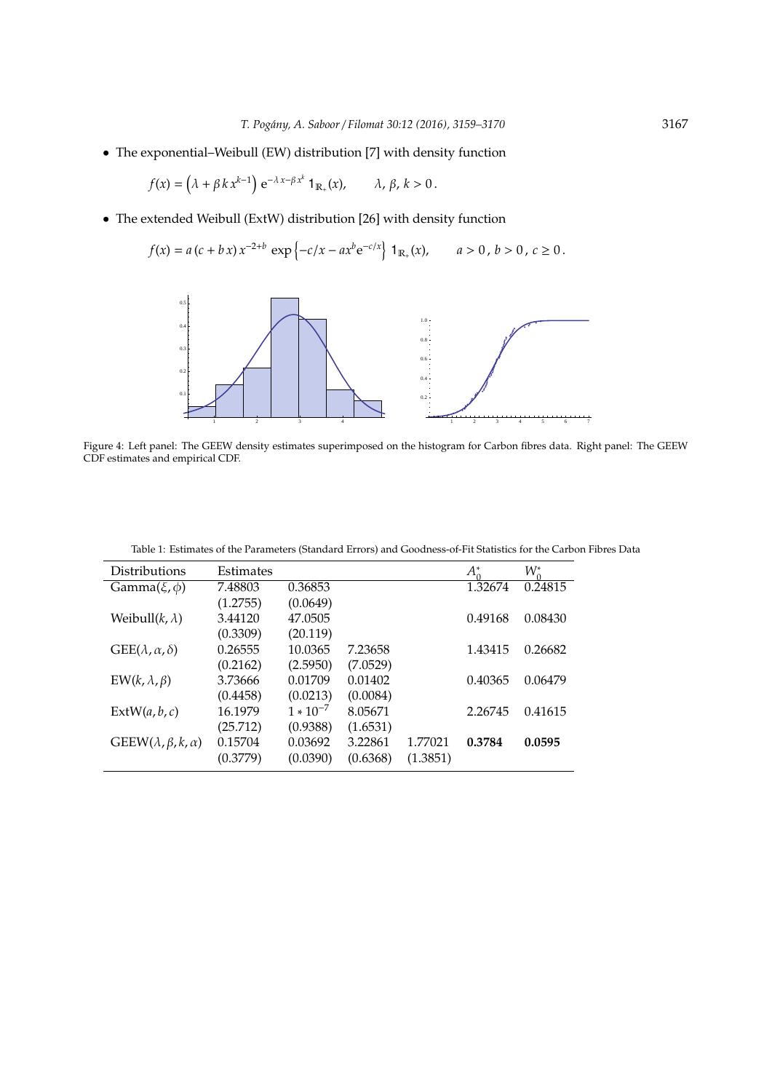• The exponential–Weibull (EW) distribution [7] with density function

$$
f(x) = (\lambda + \beta k x^{k-1}) e^{-\lambda x - \beta x^k} \mathbf{1}_{\mathbb{R}_+}(x), \qquad \lambda, \beta, k > 0.
$$

• The extended Weibull (ExtW) distribution [26] with density function

$$
f(x) = a (c + b x) x^{-2+b} \exp \left\{-c/x - ax^b e^{-c/x}\right\} 1_{\mathbb{R}_+}(x), \qquad a > 0, b > 0, c \ge 0.
$$



Figure 4: Left panel: The GEEW density estimates superimposed on the histogram for Carbon fibres data. Right panel: The GEEW CDF estimates and empirical CDF.

| Distributions                     | Estimates |               |          |          | $A_0^*$ | $W_0^*$ |
|-----------------------------------|-----------|---------------|----------|----------|---------|---------|
| Gamma $(\xi, \phi)$               | 7.48803   | 0.36853       |          |          | 1.32674 | 0.24815 |
|                                   | (1.2755)  | (0.0649)      |          |          |         |         |
| Weibull $(k, \lambda)$            | 3.44120   | 47.0505       |          |          | 0.49168 | 0.08430 |
|                                   | (0.3309)  | (20.119)      |          |          |         |         |
| $GEE(\lambda, \alpha, \delta)$    | 0.26555   | 10.0365       | 7.23658  |          | 1.43415 | 0.26682 |
|                                   | (0.2162)  | (2.5950)      | (7.0529) |          |         |         |
| $EW(k, \lambda, \beta)$           | 3.73666   | 0.01709       | 0.01402  |          | 0.40365 | 0.06479 |
|                                   | (0.4458)  | (0.0213)      | (0.0084) |          |         |         |
| ExtW(a, b, c)                     | 16.1979   | $1 * 10^{-7}$ | 8.05671  |          | 2.26745 | 0.41615 |
|                                   | (25.712)  | (0.9388)      | (1.6531) |          |         |         |
| $GEEW(\lambda, \beta, k, \alpha)$ | 0.15704   | 0.03692       | 3.22861  | 1.77021  | 0.3784  | 0.0595  |
|                                   | (0.3779)  | (0.0390)      | (0.6368) | (1.3851) |         |         |

Table 1: Estimates of the Parameters (Standard Errors) and Goodness-of-Fit Statistics for the Carbon Fibres Data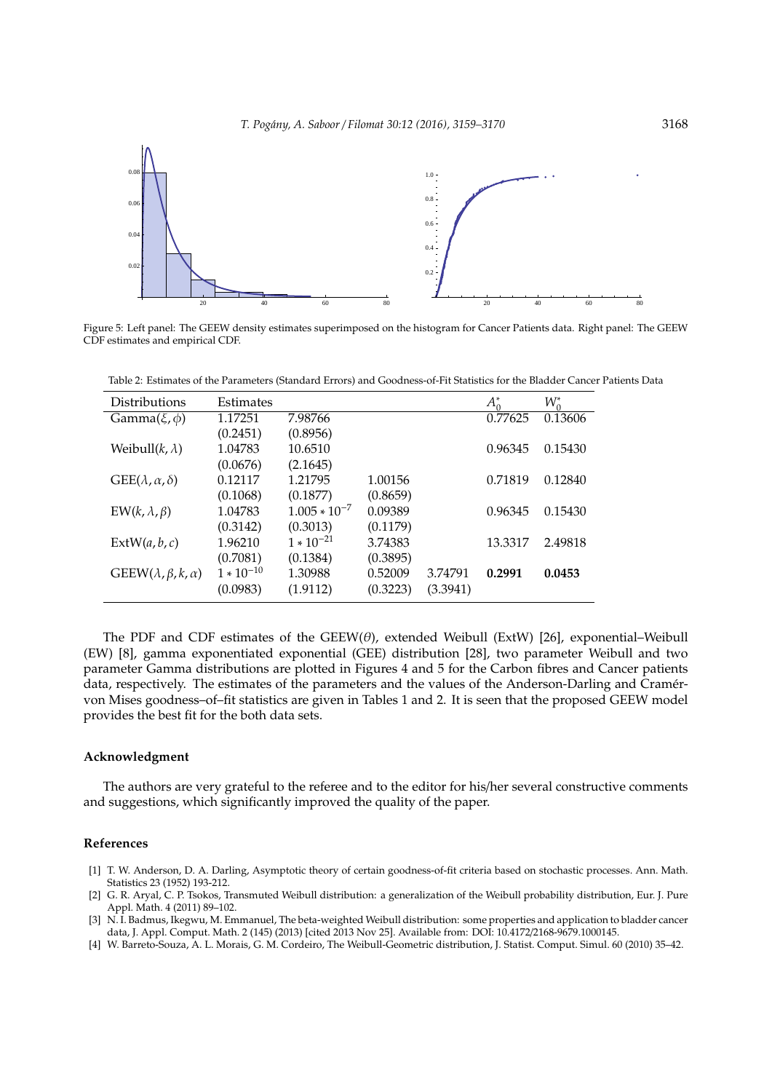

Figure 5: Left panel: The GEEW density estimates superimposed on the histogram for Cancer Patients data. Right panel: The GEEW CDF estimates and empirical CDF.

| Distributions                     | Estimates      |                   |          |          | $A_0^*$ | $W^*_{\alpha}$ |
|-----------------------------------|----------------|-------------------|----------|----------|---------|----------------|
| Gamma $(\xi, \phi)$               | 1.17251        | 7.98766           |          |          | 0.77625 | 0.13606        |
|                                   | (0.2451)       | (0.8956)          |          |          |         |                |
| Weibull $(k, \lambda)$            | 1.04783        | 10.6510           |          |          | 0.96345 | 0.15430        |
|                                   | (0.0676)       | (2.1645)          |          |          |         |                |
| $GEE(\lambda, \alpha, \delta)$    | 0.12117        | 1.21795           | 1.00156  |          | 0.71819 | 0.12840        |
|                                   | (0.1068)       | (0.1877)          | (0.8659) |          |         |                |
| $EW(k, \lambda, \beta)$           | 1.04783        | $1.005 * 10^{-7}$ | 0.09389  |          | 0.96345 | 0.15430        |
|                                   | (0.3142)       | (0.3013)          | (0.1179) |          |         |                |
| ExtW(a, b, c)                     | 1.96210        | $1 * 10^{-21}$    | 3.74383  |          | 13.3317 | 2.49818        |
|                                   | (0.7081)       | (0.1384)          | (0.3895) |          |         |                |
| $GEEW(\lambda, \beta, k, \alpha)$ | $1 * 10^{-10}$ | 1.30988           | 0.52009  | 3.74791  | 0.2991  | 0.0453         |
|                                   | (0.0983)       | (1.9112)          | (0.3223) | (3.3941) |         |                |

Table 2: Estimates of the Parameters (Standard Errors) and Goodness-of-Fit Statistics for the Bladder Cancer Patients Data

The PDF and CDF estimates of the GEEW( $\theta$ ), extended Weibull (ExtW) [26], exponential–Weibull (EW) [8], gamma exponentiated exponential (GEE) distribution [28], two parameter Weibull and two parameter Gamma distributions are plotted in Figures 4 and 5 for the Carbon fibres and Cancer patients data, respectively. The estimates of the parameters and the values of the Anderson-Darling and Cramer- ´ von Mises goodness–of–fit statistics are given in Tables 1 and 2. It is seen that the proposed GEEW model provides the best fit for the both data sets.

# **Acknowledgment**

The authors are very grateful to the referee and to the editor for his/her several constructive comments and suggestions, which significantly improved the quality of the paper.

## **References**

- [1] T. W. Anderson, D. A. Darling, Asymptotic theory of certain goodness-of-fit criteria based on stochastic processes. Ann. Math. Statistics 23 (1952) 193-212.
- [2] G. R. Aryal, C. P. Tsokos, Transmuted Weibull distribution: a generalization of the Weibull probability distribution, Eur. J. Pure Appl. Math. 4 (2011) 89–102.
- [3] N. I. Badmus, Ikegwu, M. Emmanuel, The beta-weighted Weibull distribution: some properties and application to bladder cancer data, J. Appl. Comput. Math. 2 (145) (2013) [cited 2013 Nov 25]. Available from: DOI: 10.4172/2168-9679.1000145.
- [4] W. Barreto-Souza, A. L. Morais, G. M. Cordeiro, The Weibull-Geometric distribution, J. Statist. Comput. Simul. 60 (2010) 35–42.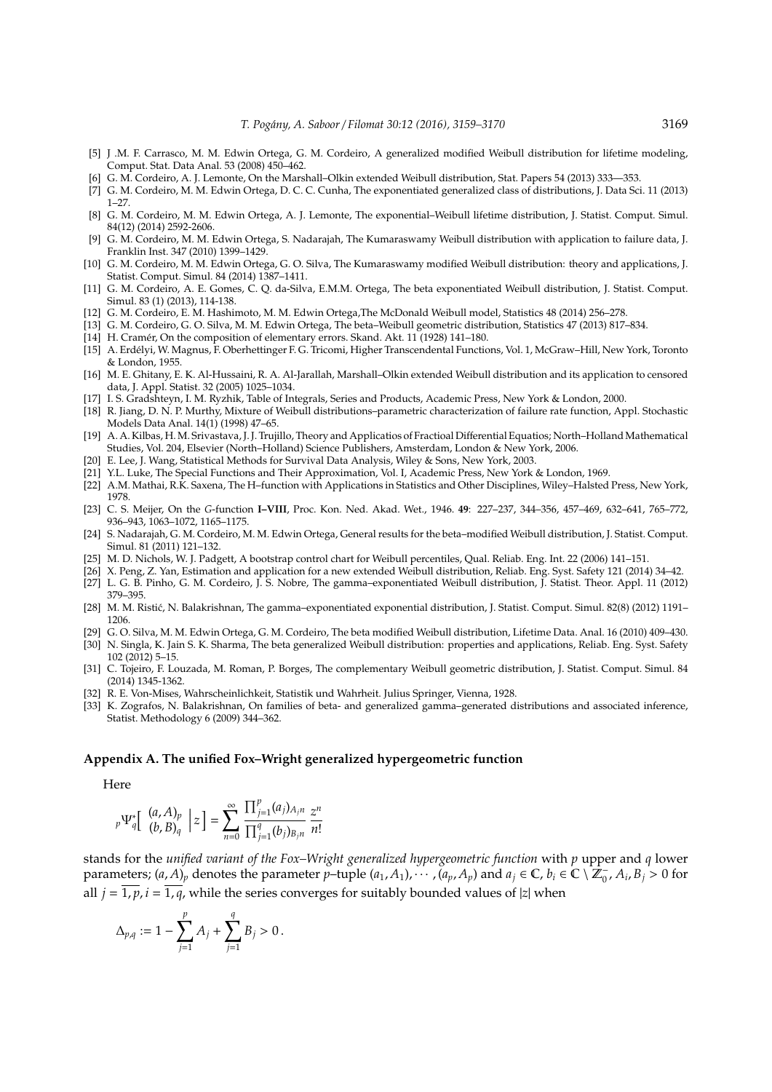- [5] J .M. F. Carrasco, M. M. Edwin Ortega, G. M. Cordeiro, A generalized modified Weibull distribution for lifetime modeling, Comput. Stat. Data Anal. 53 (2008) 450–462.
- [6] G. M. Cordeiro, A. J. Lemonte, On the Marshall–Olkin extended Weibull distribution, Stat. Papers 54 (2013) 333—353.
- [7] G. M. Cordeiro, M. M. Edwin Ortega, D. C. C. Cunha, The exponentiated generalized class of distributions, J. Data Sci. 11 (2013) 1–27.
- [8] G. M. Cordeiro, M. M. Edwin Ortega, A. J. Lemonte, The exponential–Weibull lifetime distribution, J. Statist. Comput. Simul. 84(12) (2014) 2592-2606.
- [9] G. M. Cordeiro, M. M. Edwin Ortega, S. Nadarajah, The Kumaraswamy Weibull distribution with application to failure data, J. Franklin Inst. 347 (2010) 1399–1429.
- [10] G. M. Cordeiro, M. M. Edwin Ortega, G. O. Silva, The Kumaraswamy modified Weibull distribution: theory and applications, J. Statist. Comput. Simul. 84 (2014) 1387–1411.
- [11] G. M. Cordeiro, A. E. Gomes, C. Q. da-Silva, E.M.M. Ortega, The beta exponentiated Weibull distribution, J. Statist. Comput. Simul. 83 (1) (2013), 114-138.
- [12] G. M. Cordeiro, E. M. Hashimoto, M. M. Edwin Ortega,The McDonald Weibull model, Statistics 48 (2014) 256–278.
- [13] G. M. Cordeiro, G. O. Silva, M. M. Edwin Ortega, The beta–Weibull geometric distribution, Statistics 47 (2013) 817–834.
- [14] H. Cramér, On the composition of elementary errors. Skand. Akt. 11 (1928) 141-180.
- [15] A. Erdelyi, W. Magnus, F. Oberhettinger F. G. Tricomi, Higher Transcendental Functions, Vol. 1, McGraw–Hill, New York, Toronto ´ & London, 1955.
- [16] M. E. Ghitany, E. K. Al-Hussaini, R. A. Al-Jarallah, Marshall–Olkin extended Weibull distribution and its application to censored data, J. Appl. Statist. 32 (2005) 1025–1034.
- [17] I. S. Gradshteyn, I. M. Ryzhik, Table of Integrals, Series and Products, Academic Press, New York & London, 2000.
- [18] R. Jiang, D. N. P. Murthy, Mixture of Weibull distributions–parametric characterization of failure rate function, Appl. Stochastic Models Data Anal. 14(1) (1998) 47–65.
- [19] A. A. Kilbas, H.M. Srivastava, J. J. Trujillo, Theory and Applicatios of Fractioal Differential Equatios; North–HollandMathematical Studies, Vol. 204, Elsevier (North–Holland) Science Publishers, Amsterdam, London & New York, 2006.
- [20] E. Lee, J. Wang, Statistical Methods for Survival Data Analysis, Wiley & Sons, New York, 2003.
- [21] Y.L. Luke, The Special Functions and Their Approximation, Vol. I, Academic Press, New York & London, 1969.
- [22] A.M. Mathai, R.K. Saxena, The H–function with Applications in Statistics and Other Disciplines, Wiley–Halsted Press, New York, 1978.
- [23] C. S. Meijer, On the *G*-function **I–VIII**, Proc. Kon. Ned. Akad. Wet., 1946. **49**: 227–237, 344–356, 457–469, 632–641, 765–772, 936–943, 1063–1072, 1165–1175.
- [24] S. Nadarajah, G. M. Cordeiro, M. M. Edwin Ortega, General results for the beta–modified Weibull distribution, J. Statist. Comput. Simul. 81 (2011) 121–132.
- [25] M. D. Nichols, W. J. Padgett, A bootstrap control chart for Weibull percentiles, Qual. Reliab. Eng. Int. 22 (2006) 141–151.
- [26] X. Peng, Z. Yan, Estimation and application for a new extended Weibull distribution, Reliab. Eng. Syst. Safety 121 (2014) 34–42.
- [27] L. G. B. Pinho, G. M. Cordeiro, J. S. Nobre, The gamma–exponentiated Weibull distribution, J. Statist. Theor. Appl. 11 (2012) 379–395.
- [28] M. M. Ristic, N. Balakrishnan, The gamma–exponentiated exponential distribution, J. Statist. Comput. Simul. 82(8) (2012) 1191– ´ 1206.
- [29] G. O. Silva, M. M. Edwin Ortega, G. M. Cordeiro, The beta modified Weibull distribution, Lifetime Data. Anal. 16 (2010) 409–430. [30] N. Singla, K. Jain S. K. Sharma, The beta generalized Weibull distribution: properties and applications, Reliab. Eng. Syst. Safety 102 (2012) 5–15.
- [31] C. Tojeiro, F. Louzada, M. Roman, P. Borges, The complementary Weibull geometric distribution, J. Statist. Comput. Simul. 84 (2014) 1345-1362.
- [32] R. E. Von-Mises, Wahrscheinlichkeit, Statistik und Wahrheit. Julius Springer, Vienna, 1928.
- [33] K. Zografos, N. Balakrishnan, On families of beta- and generalized gamma–generated distributions and associated inference, Statist. Methodology 6 (2009) 344–362.

#### **Appendix A. The unified Fox–Wright generalized hypergeometric function**

#### Here

$$
{}_{p}\Psi_{q}^{*}\left[\begin{array}{c} (a,A)_{p} \\ (b,B)_{q} \end{array} \Big| z \right] = \sum_{n=0}^{\infty} \frac{\prod_{j=1}^{p} (a_{j})_{A_{j}n}}{\prod_{j=1}^{q} (b_{j})_{B_{j}n}} \frac{z^{n}}{n!}
$$

stands for the *unified variant of the Fox–Wright generalized hypergeometric function* with *p* upper and *q* lower parameters;  $(a, A)_p$  denotes the parameter p-tuple  $(a_1, A_1), \cdots, (a_p, A_p)$  and  $a_j \in \mathbb{C}$ ,  $b_i \in \mathbb{C} \setminus \mathbb{Z}_0^-, A_i, B_j > 0$  for all  $j = \overline{1, p}$ ,  $i = \overline{1, q}$ , while the series converges for suitably bounded values of |*z*| when

$$
\Delta_{p,q}:=1-\sum_{j=1}^p A_j+\sum_{j=1}^q B_j>0\,.
$$